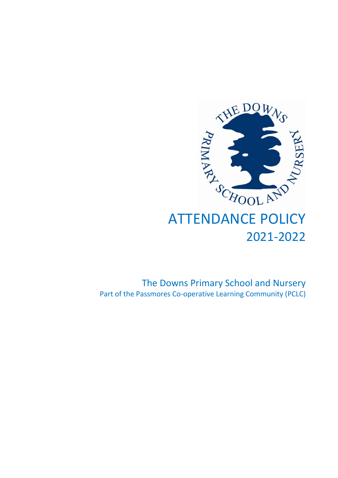

# ATTENDANCE POLICY 2021-2022

The Downs Primary School and Nursery Part of the Passmores Co-operative Learning Community (PCLC)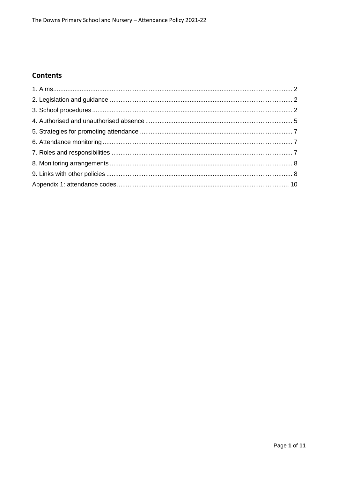# **Contents**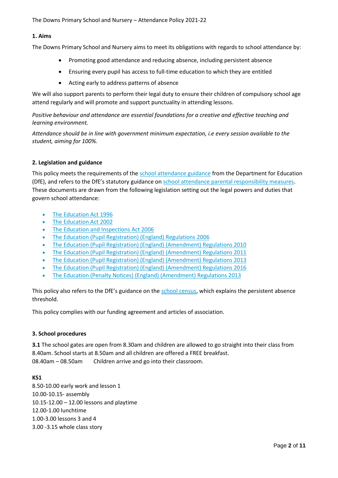# **1. Aims**

The Downs Primary School and Nursery aims to meet its obligations with regards to school attendance by:

- Promoting good attendance and reducing absence, including persistent absence
- Ensuring every pupil has access to full-time education to which they are entitled
- Acting early to address patterns of absence

We will also support parents to perform their legal duty to ensure their children of compulsory school age attend regularly and will promote and support punctuality in attending lessons.

*Positive behaviour and attendance are essential foundations for a creative and effective teaching and learning environment.*

*Attendance should be in line with government minimum expectation, i.e every session available to the student, aiming for 100%.*

## **2. Legislation and guidance**

This policy meets the requirements of the [school attendance guidance](https://www.gov.uk/government/publications/school-attendance) from the Department for Education (DfE), and refers to the DfE's statutory guidance on [school attendance parental responsibility measures.](https://www.gov.uk/government/publications/parental-responsibility-measures-for-behaviour-and-attendance) These documents are drawn from the following legislation setting out the legal powers and duties that govern school attendance:

- [The Education Act 1996](https://www.legislation.gov.uk/ukpga/1996/56/part/VI/chapter/II)
- [The Education Act 2002](http://www.legislation.gov.uk/ukpga/2002/32/part/3/chapter/3)
- [The Education and Inspections Act 2006](http://www.legislation.gov.uk/ukpga/2006/40/part/7/chapter/2/crossheading/school-attendance)
- [The Education \(Pupil Registration\) \(England\) Regulations 2006](http://www.legislation.gov.uk/uksi/2006/1751/contents/made)
- [The Education \(Pupil Registration\) \(England\) \(Amendment\) Regulations 2010](http://www.centralbedfordshire.gov.uk/Images/amendment-regulation-2010_tcm3-8642.pdf)
- [The Education \(Pupil Registration\) \(England\) \(Amendment\) Regulations 2011](http://www.legislation.gov.uk/uksi/2011/1625/made)
- [The Education \(Pupil Registration\) \(England\) \(Amendment\) Regulations 2013](http://www.legislation.gov.uk/uksi/2013/756/made)
- [The Education \(Pupil Registration\) \(England\) \(Amendment\) Regulations 2016](http://legislation.data.gov.uk/uksi/2016/792/made/data.html)
- [The Education \(Penalty Notices\) \(England\) \(Amendment\) Regulations 2013](http://www.legislation.gov.uk/uksi/2013/756/pdfs/uksiem_20130756_en.pdf)

This policy also refers to the DfE's guidance on the [school census,](https://www.gov.uk/government/publications/school-census-2017-to-2018-guide-for-schools-and-las) which explains the persistent absence threshold.

This policy complies with our funding agreement and articles of association.

#### **3. School procedures**

**3.1** The school gates are open from 8.30am and children are allowed to go straight into their class from 8.40am. School starts at 8.50am and all children are offered a FREE breakfast. 08.40am – 08.50am Children arrive and go into their classroom.

#### **KS1**

8.50-10.00 early work and lesson 1 10.00-10.15- assembly 10.15-12.00 – 12.00 lessons and playtime 12.00-1.00 lunchtime 1.00-3.00 lessons 3 and 4 3.00 -3.15 whole class story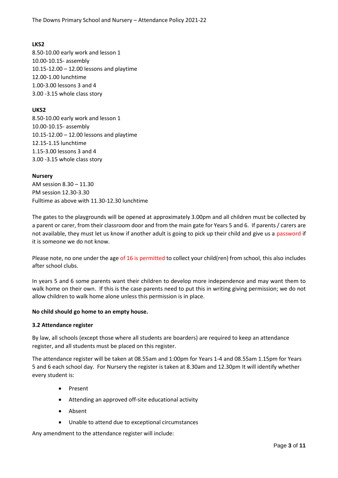# **LKS2**

8.50-10.00 early work and lesson 1 10.00-10.15- assembly 10.15-12.00 – 12.00 lessons and playtime 12.00-1.00 lunchtime 1.00-3.00 lessons 3 and 4 3.00 -3.15 whole class story

# **UKS2**

8.50-10.00 early work and lesson 1 10.00-10.15- assembly 10.15-12.00 – 12.00 lessons and playtime 12.15-1.15 lunchtime 1.15-3.00 lessons 3 and 4 3.00 -3.15 whole class story

# **Nursery**

AM session 8.30 – 11.30 PM session 12.30-3.30 Fulltime as above with 11.30-12.30 lunchtime

The gates to the playgrounds will be opened at approximately 3.00pm and all children must be collected by a parent or carer, from their classroom door and from the main gate for Years 5 and 6. If parents / carers are not available, they must let us know if another adult is going to pick up their child and give us a password if it is someone we do not know.

Please note, no one under the age of 16 is permitted to collect your child(ren) from school, this also includes after school clubs.

In years 5 and 6 some parents want their children to develop more independence and may want them to walk home on their own. If this is the case parents need to put this in writing giving permission; we do not allow children to walk home alone unless this permission is in place.

# **No child should go home to an empty house.**

#### **3.2 Attendance register**

By law, all schools (except those where all students are boarders) are required to keep an attendance register, and all students must be placed on this register.

The attendance register will be taken at 08.55am and 1:00pm for Years 1-4 and 08.55am 1.15pm for Years 5 and 6 each school day. For Nursery the register is taken at 8.30am and 12.30pm It will identify whether every student is:

- Present
- Attending an approved off-site educational activity
- Absent
- Unable to attend due to exceptional circumstances

Any amendment to the attendance register will include: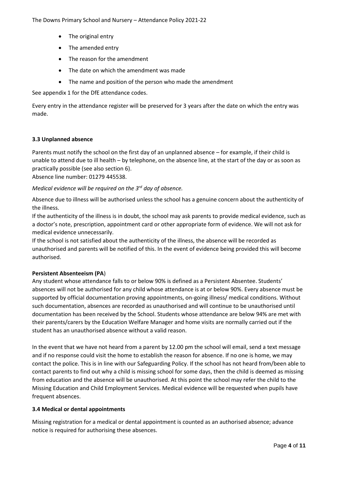- The original entry
- The amended entry
- The reason for the amendment
- The date on which the amendment was made
- The name and position of the person who made the amendment

See appendix 1 for the DfE attendance codes.

Every entry in the attendance register will be preserved for 3 years after the date on which the entry was made.

## **3.3 Unplanned absence**

Parents must notify the school on the first day of an unplanned absence – for example, if their child is unable to attend due to ill health – by telephone, on the absence line, at the start of the day or as soon as practically possible (see also section 6).

Absence line number: 01279 445538.

*Medical evidence will be required on the 3rd day of absence.*

Absence due to illness will be authorised unless the school has a genuine concern about the authenticity of the illness.

If the authenticity of the illness is in doubt, the school may ask parents to provide medical evidence, such as a doctor's note, prescription, appointment card or other appropriate form of evidence. We will not ask for medical evidence unnecessarily.

If the school is not satisfied about the authenticity of the illness, the absence will be recorded as unauthorised and parents will be notified of this. In the event of evidence being provided this will become authorised.

# **Persistent Absenteeism (PA**)

Any student whose attendance falls to or below 90% is defined as a Persistent Absentee. Students' absences will not be authorised for any child whose attendance is at or below 90%. Every absence must be supported by official documentation proving appointments, on-going illness/ medical conditions. Without such documentation, absences are recorded as unauthorised and will continue to be unauthorised until documentation has been received by the School. Students whose attendance are below 94% are met with their parents/carers by the Education Welfare Manager and home visits are normally carried out if the student has an unauthorised absence without a valid reason.

In the event that we have not heard from a parent by 12.00 pm the school will email, send a text message and if no response could visit the home to establish the reason for absence. If no one is home, we may contact the police. This is in line with our Safeguarding Policy. If the school has not heard from/been able to contact parents to find out why a child is missing school for some days, then the child is deemed as missing from education and the absence will be unauthorised. At this point the school may refer the child to the Missing Education and Child Employment Services. Medical evidence will be requested when pupils have frequent absences.

#### **3.4 Medical or dental appointments**

Missing registration for a medical or dental appointment is counted as an authorised absence; advance notice is required for authorising these absences.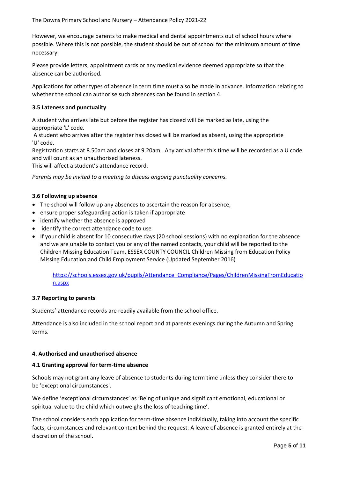However, we encourage parents to make medical and dental appointments out of school hours where possible. Where this is not possible, the student should be out of school for the minimum amount of time necessary.

Please provide letters, appointment cards or any medical evidence deemed appropriate so that the absence can be authorised.

Applications for other types of absence in term time must also be made in advance. Information relating to whether the school can authorise such absences can be found in section 4.

#### **3.5 Lateness and punctuality**

A student who arrives late but before the register has closed will be marked as late, using the appropriate 'L' code.

A student who arrives after the register has closed will be marked as absent, using the appropriate 'U' code.

Registration starts at 8.50am and closes at 9.20am. Any arrival after this time will be recorded as a U code and will count as an unauthorised lateness.

This will affect a student's attendance record.

*Parents may be invited to a meeting to discuss ongoing punctuality concerns.*

#### **3.6 Following up absence**

- The school will follow up any absences to ascertain the reason for absence,
- ensure proper safeguarding action is taken if appropriate
- identify whether the absence is approved
- identify the correct attendance code to use
- If your child is absent for 10 consecutive days (20 school sessions) with no explanation for the absence and we are unable to contact you or any of the named contacts, your child will be reported to the Children Missing Education Team. ESSEX COUNTY COUNCIL Children Missing from Education Policy Missing Education and Child Employment Service (Updated September 2016)

[https://schools.essex.gov.uk/pupils/Attendance\\_Compliance/Pages/ChildrenMissingFromEducatio](https://schools.essex.gov.uk/pupils/Attendance_Compliance/Pages/ChildrenMissingFromEducation.aspx) [n.aspx](https://schools.essex.gov.uk/pupils/Attendance_Compliance/Pages/ChildrenMissingFromEducation.aspx)

#### **3.7 Reporting to parents**

Students' attendance records are readily available from the school office.

Attendance is also included in the school report and at parents evenings during the Autumn and Spring terms.

#### **4. Authorised and unauthorised absence**

#### **4.1 Granting approval for term-time absence**

Schools may not grant any leave of absence to students during term time unless they consider there to be 'exceptional circumstances'.

We define 'exceptional circumstances' as 'Being of unique and significant emotional, educational or spiritual value to the child which outweighs the loss of teaching time'.

The school considers each application for term-time absence individually, taking into account the specific facts, circumstances and relevant context behind the request. A leave of absence is granted entirely at the discretion of the school.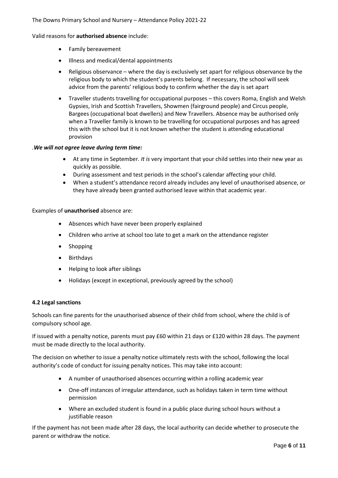Valid reasons for **authorised absence** include:

- Family bereavement
- Illness and medical/dental appointments
- Religious observance where the day is exclusively set apart for religious observance by the religious body to which the student's parents belong. If necessary, the school will seek advice from the parents' religious body to confirm whether the day is set apart
- Traveller students travelling for occupational purposes this covers Roma, English and Welsh Gypsies, Irish and Scottish Travellers, Showmen (fairground people) and Circus people, Bargees (occupational boat dwellers) and New Travellers. Absence may be authorised only when a Traveller family is known to be travelling for occupational purposes and has agreed this with the school but it is not known whether the student is attending educational provision

#### *.We will not agree leave during term time:*

- At any time in September. *It is* very important that your child settles into their new year as quickly as possible.
- During assessment and test periods in the school's calendar affecting your child.
- When a student's attendance record already includes any level of unauthorised absence, or they have already been granted authorised leave within that academic year.

#### Examples of **unauthorised** absence are:

- Absences which have never been properly explained
- Children who arrive at school too late to get a mark on the attendance register
- Shopping
- Birthdays
- Helping to look after siblings
- Holidays (except in exceptional, previously agreed by the school)

#### **4.2 Legal sanctions**

Schools can fine parents for the unauthorised absence of their child from school, where the child is of compulsory school age.

If issued with a penalty notice, parents must pay £60 within 21 days or £120 within 28 days. The payment must be made directly to the local authority.

The decision on whether to issue a penalty notice ultimately rests with the school, following the local authority's code of conduct for issuing penalty notices. This may take into account:

- A number of unauthorised absences occurring within a rolling academic year
- One-off instances of irregular attendance, such as holidays taken in term time without permission
- Where an excluded student is found in a public place during school hours without a justifiable reason

If the payment has not been made after 28 days, the local authority can decide whether to prosecute the parent or withdraw the notice.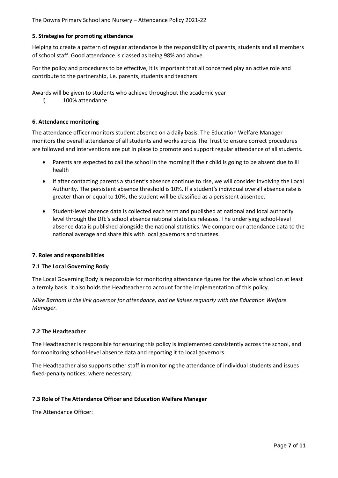#### **5. Strategies for promoting attendance**

Helping to create a pattern of regular attendance is the responsibility of parents, students and all members of school staff. Good attendance is classed as being 98% and above.

For the policy and procedures to be effective, it is important that all concerned play an active role and contribute to the partnership, i.e. parents, students and teachers.

Awards will be given to students who achieve throughout the academic year

i) 100% attendance

## **6. Attendance monitoring**

The attendance officer monitors student absence on a daily basis. The Education Welfare Manager monitors the overall attendance of all students and works across The Trust to ensure correct procedures are followed and interventions are put in place to promote and support regular attendance of all students.

- Parents are expected to call the school in the morning if their child is going to be absent due to ill health
- If after contacting parents a student's absence continue to rise, we will consider involving the Local Authority. The persistent absence threshold is 10%. If a student's individual overall absence rate is greater than or equal to 10%, the student will be classified as a persistent absentee.
- Student-level absence data is collected each term and published at national and local authority level through the DfE's school absence national statistics releases. The underlying school-level absence data is published alongside the national statistics. We compare our attendance data to the national average and share this with local governors and trustees.

#### **7. Roles and responsibilities**

#### **7.1 The Local Governing Body**

The Local Governing Body is responsible for monitoring attendance figures for the whole school on at least a termly basis. It also holds the Headteacher to account for the implementation of this policy.

*Mike Barham is the link governor for attendance, and he liaises regularly with the Education Welfare Manager.*

#### **7.2 The Headteacher**

The Headteacher is responsible for ensuring this policy is implemented consistently across the school, and for monitoring school-level absence data and reporting it to local governors.

The Headteacher also supports other staff in monitoring the attendance of individual students and issues fixed-penalty notices, where necessary.

#### **7.3 Role of The Attendance Officer and Education Welfare Manager**

The Attendance Officer: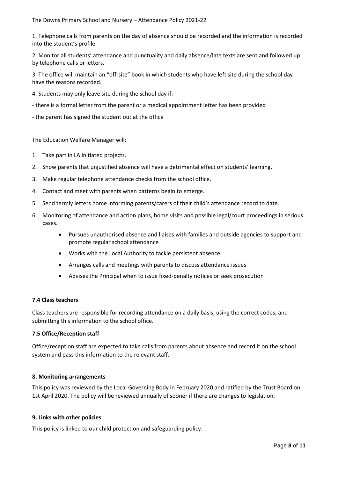1. Telephone calls from parents on the day of absence should be recorded and the information is recorded into the student's profile.

2. Monitor all students' attendance and punctuality and daily absence/late texts are sent and followed up by telephone calls or letters.

3. The office will maintain an "off-site" book in which students who have left site during the school day have the reasons recorded.

- 4. Students may only leave site during the school day if:
- there is a formal letter from the parent or a medical appointment letter has been provided
- the parent has signed the student out at the office

The Education Welfare Manager will:

- 1. Take part in LA initiated projects.
- 2. Show parents that unjustified absence will have a detrimental effect on students' learning.
- 3. Make regular telephone attendance checks from the school office.
- 4. Contact and meet with parents when patterns begin to emerge.
- 5. Send termly letters home informing parents/carers of their child's attendance record to date.
- 6. Monitoring of attendance and action plans, home visits and possible legal/court proceedings in serious cases.
	- Pursues unauthorised absence and liaises with families and outside agencies to support and promote regular school attendance
	- Works with the Local Authority to tackle persistent absence
	- Arranges calls and meetings with parents to discuss attendance issues
	- Advises the Principal when to issue fixed-penalty notices or seek prosecution

#### **7.4 Class teachers**

Class teachers are responsible for recording attendance on a daily basis, using the correct codes, and submitting this information to the school office.

#### **7.5 Office/Reception staff**

Office/reception staff are expected to take calls from parents about absence and record it on the school system and pass this information to the relevant staff.

#### **8. Monitoring arrangements**

This policy was reviewed by the Local Governing Body in February 2020 and ratified by the Trust Board on 1st April 2020. The policy will be reviewed annually of sooner if there are changes to legislation.

#### **9. Links with other policies**

This policy is linked to our child protection and safeguarding policy.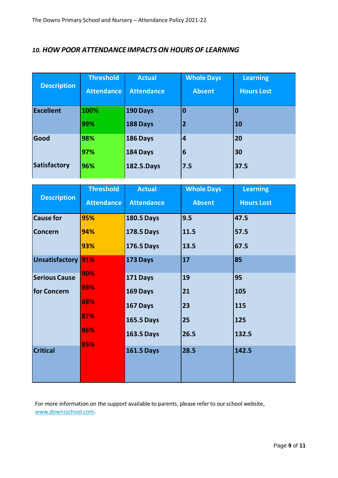# *10. HOW POOR ATTENDANCE IMPACTSON HOURS OF LEARNING*

|                     | <b>Threshold</b>  | <b>Actual</b>     | <b>Whole Days</b> | <b>Learning</b>   |
|---------------------|-------------------|-------------------|-------------------|-------------------|
| <b>Description</b>  | <b>Attendance</b> | <b>Attendance</b> | <b>Absent</b>     | <b>Hours Lost</b> |
| <b>Excellent</b>    | 100%              | 190 Days          | 0                 | $\bf{0}$          |
|                     | 99%               | 188 Days          | $\overline{2}$    | <b>10</b>         |
| Good                | 98%               | 186 Days          | 4                 | 20                |
|                     | 97%               | 184 Days          | 6                 | 30                |
| <b>Satisfactory</b> | 96%               | 182.5.Days        | 7.5               | 37.5              |

| <b>Description</b>   | <b>Threshold</b><br><b>Attendance</b> | <b>Actual</b><br><b>Attendance</b> | <b>Whole Days</b><br><b>Absent</b> | <b>Learning</b><br><b>Hours Lost</b> |
|----------------------|---------------------------------------|------------------------------------|------------------------------------|--------------------------------------|
|                      |                                       |                                    |                                    |                                      |
| <b>Cause for</b>     | 95%                                   | <b>180.5 Days</b>                  | 9.5                                | 47.5                                 |
| <b>Concern</b>       | 94%                                   | <b>178.5 Days</b>                  | 11.5                               | 57.5                                 |
|                      | 93%                                   | <b>176.5 Days</b>                  | 13.5                               | 67.5                                 |
| Unsatisfactory       | 91%                                   | 173 Days                           | 17                                 | 85                                   |
| <b>Serious Cause</b> | 90%                                   | 171 Days                           | 19                                 | 95                                   |
| for Concern          | 89%                                   | 169 Days                           | 21                                 | 105                                  |
|                      | 88%                                   | 167 Days                           | 23                                 | 115                                  |
|                      | 87%                                   | <b>165.5 Days</b>                  | 25                                 | 125                                  |
|                      | 86%                                   | 163.5 Days                         | 26.5                               | 132.5                                |
|                      | 85%                                   |                                    |                                    |                                      |
| <b>Critical</b>      |                                       | <b>161.5 Days</b>                  | 28.5                               | 142.5                                |
|                      |                                       |                                    |                                    |                                      |

For more information on the support available to parents, please refer to our school website, [www.downsschool.com.](http://www.downsschool.com/)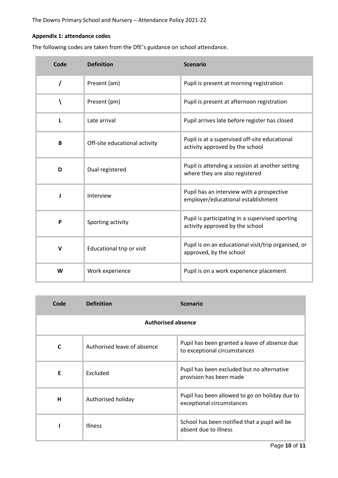# **Appendix 1: attendance codes**

The following codes are taken from the DfE's guidance on school attendance.

| Code     | <b>Definition</b>             | <b>Scenario</b>                                                                    |
|----------|-------------------------------|------------------------------------------------------------------------------------|
| $\prime$ | Present (am)                  | Pupil is present at morning registration                                           |
|          | Present (pm)                  | Pupil is present at afternoon registration                                         |
| т.       | Late arrival                  | Pupil arrives late before register has closed                                      |
| B        | Off-site educational activity | Pupil is at a supervised off-site educational<br>activity approved by the school   |
| D        | Dual registered               | Pupil is attending a session at another setting<br>where they are also registered  |
| ı        | Interview                     | Pupil has an interview with a prospective<br>employer/educational establishment    |
| P        | Sporting activity             | Pupil is participating in a supervised sporting<br>activity approved by the school |
| v        | Educational trip or visit     | Pupil is on an educational visit/trip organised, or<br>approved, by the school     |
| W        | Work experience               | Pupil is on a work experience placement                                            |

| Code                      | <b>Definition</b>           | <b>Scenario</b>                                                               |  |
|---------------------------|-----------------------------|-------------------------------------------------------------------------------|--|
| <b>Authorised absence</b> |                             |                                                                               |  |
| C                         | Authorised leave of absence | Pupil has been granted a leave of absence due<br>to exceptional circumstances |  |
| E                         | Excluded                    | Pupil has been excluded but no alternative<br>provision has been made         |  |
| н                         | Authorised holiday          | Pupil has been allowed to go on holiday due to<br>exceptional circumstances   |  |
|                           | <b>Illness</b>              | School has been notified that a pupil will be<br>absent due to illness        |  |